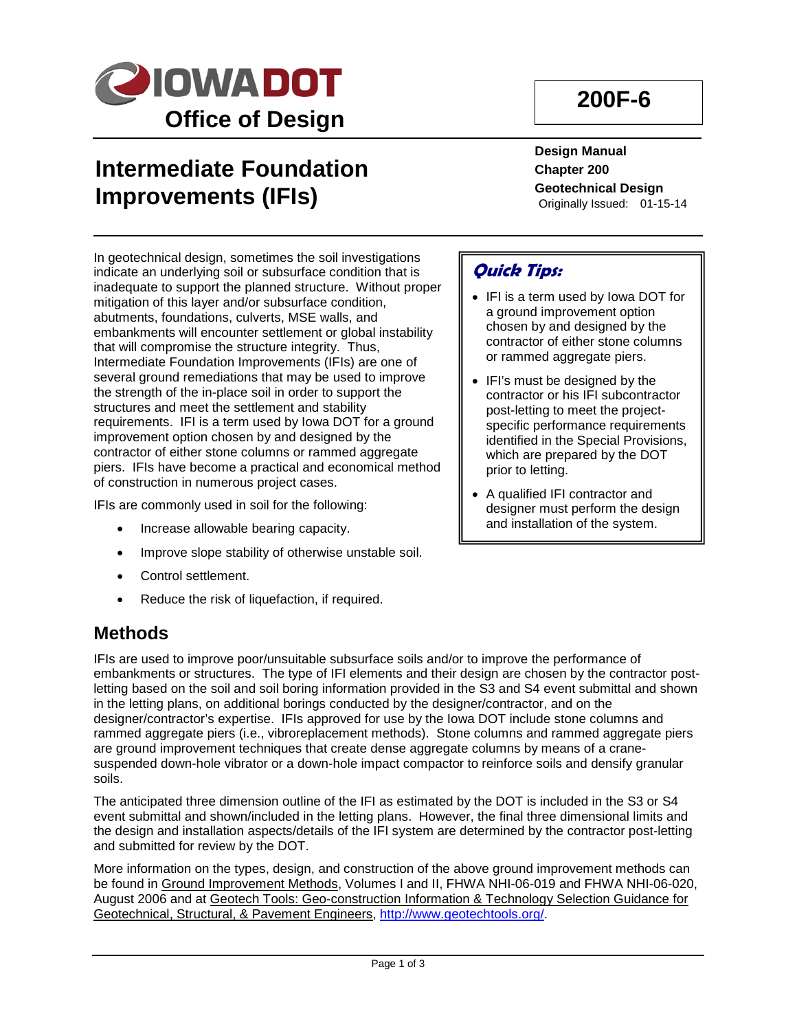

## **Intermediate Foundation Improvements (IFIs)**

**200F-6**

**Design Manual Chapter 200 Geotechnical Design** Originally Issued: 01-15-14

In geotechnical design, sometimes the soil investigations indicate an underlying soil or subsurface condition that is inadequate to support the planned structure. Without proper mitigation of this layer and/or subsurface condition, abutments, foundations, culverts, MSE walls, and embankments will encounter settlement or global instability that will compromise the structure integrity. Thus, Intermediate Foundation Improvements (IFIs) are one of several ground remediations that may be used to improve the strength of the in-place soil in order to support the structures and meet the settlement and stability requirements. IFI is a term used by Iowa DOT for a ground improvement option chosen by and designed by the contractor of either stone columns or rammed aggregate piers. IFIs have become a practical and economical method of construction in numerous project cases.

IFIs are commonly used in soil for the following:

- Increase allowable bearing capacity.
- Improve slope stability of otherwise unstable soil.
- Control settlement.
- Reduce the risk of liquefaction, if required.

# **Methods**

IFIs are used to improve poor/unsuitable subsurface soils and/or to improve the performance of embankments or structures. The type of IFI elements and their design are chosen by the contractor postletting based on the soil and soil boring information provided in the S3 and S4 event submittal and shown in the letting plans, on additional borings conducted by the designer/contractor, and on the designer/contractor's expertise. IFIs approved for use by the Iowa DOT include stone columns and rammed aggregate piers (i.e., vibroreplacement methods). Stone columns and rammed aggregate piers are ground improvement techniques that create dense aggregate columns by means of a cranesuspended down-hole vibrator or a down-hole impact compactor to reinforce soils and densify granular soils.

The anticipated three dimension outline of the IFI as estimated by the DOT is included in the S3 or S4 event submittal and shown/included in the letting plans. However, the final three dimensional limits and the design and installation aspects/details of the IFI system are determined by the contractor post-letting and submitted for review by the DOT.

More information on the types, design, and construction of the above ground improvement methods can be found in Ground Improvement Methods, Volumes I and II, FHWA NHI-06-019 and FHWA NHI-06-020, August 2006 and at Geotech Tools: Geo-construction Information & Technology Selection Guidance for Geotechnical, Structural, & Pavement Engineers, [http://www.geotechtools.org/.](http://www.geotechtools.org/)

## **Quick Tips:**

- IFI is a term used by Iowa DOT for a ground improvement option chosen by and designed by the contractor of either stone columns or rammed aggregate piers.
- IFI's must be designed by the contractor or his IFI subcontractor post-letting to meet the projectspecific performance requirements identified in the Special Provisions, which are prepared by the DOT prior to letting.
- A qualified IFI contractor and designer must perform the design and installation of the system.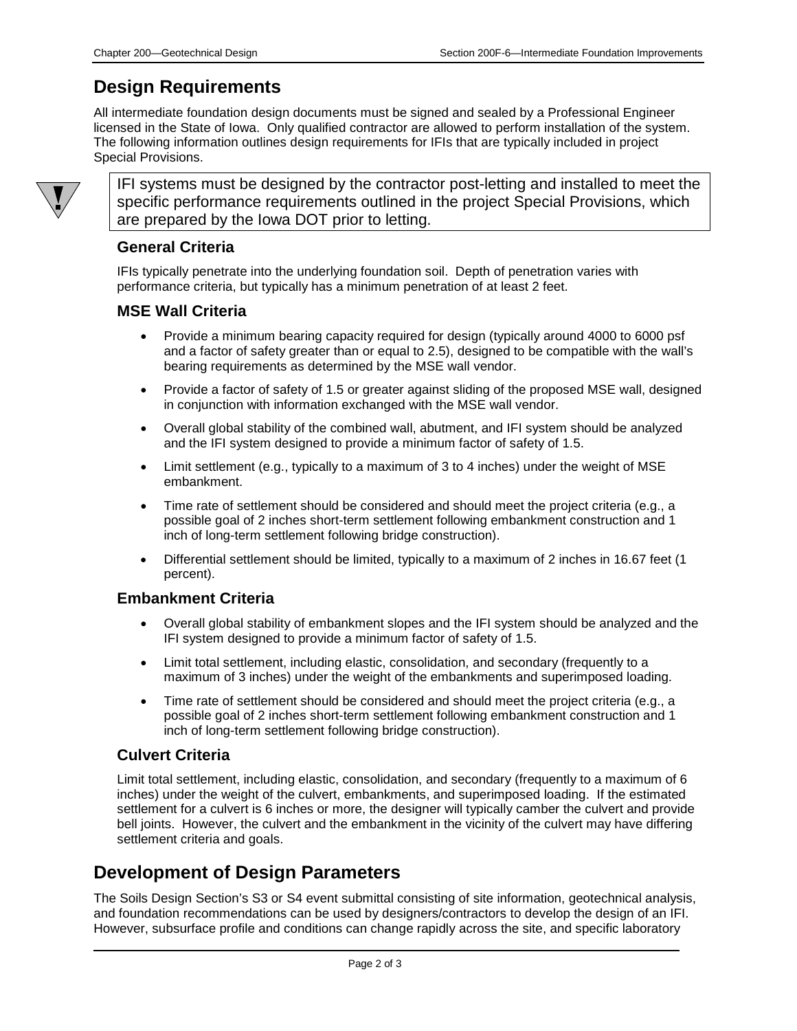## **Design Requirements**

All intermediate foundation design documents must be signed and sealed by a Professional Engineer licensed in the State of Iowa. Only qualified contractor are allowed to perform installation of the system. The following information outlines design requirements for IFIs that are typically included in project Special Provisions.



IFI systems must be designed by the contractor post-letting and installed to meet the specific performance requirements outlined in the project Special Provisions, which are prepared by the Iowa DOT prior to letting.

#### **General Criteria**

IFIs typically penetrate into the underlying foundation soil. Depth of penetration varies with performance criteria, but typically has a minimum penetration of at least 2 feet.

#### **MSE Wall Criteria**

- Provide a minimum bearing capacity required for design (typically around 4000 to 6000 psf and a factor of safety greater than or equal to 2.5), designed to be compatible with the wall's bearing requirements as determined by the MSE wall vendor.
- Provide a factor of safety of 1.5 or greater against sliding of the proposed MSE wall, designed in conjunction with information exchanged with the MSE wall vendor.
- Overall global stability of the combined wall, abutment, and IFI system should be analyzed and the IFI system designed to provide a minimum factor of safety of 1.5.
- Limit settlement (e.g., typically to a maximum of 3 to 4 inches) under the weight of MSE embankment.
- Time rate of settlement should be considered and should meet the project criteria (e.g., a possible goal of 2 inches short-term settlement following embankment construction and 1 inch of long-term settlement following bridge construction).
- Differential settlement should be limited, typically to a maximum of 2 inches in 16.67 feet (1 percent).

#### **Embankment Criteria**

- Overall global stability of embankment slopes and the IFI system should be analyzed and the IFI system designed to provide a minimum factor of safety of 1.5.
- Limit total settlement, including elastic, consolidation, and secondary (frequently to a maximum of 3 inches) under the weight of the embankments and superimposed loading.
- Time rate of settlement should be considered and should meet the project criteria (e.g., a possible goal of 2 inches short-term settlement following embankment construction and 1 inch of long-term settlement following bridge construction).

#### **Culvert Criteria**

Limit total settlement, including elastic, consolidation, and secondary (frequently to a maximum of 6 inches) under the weight of the culvert, embankments, and superimposed loading. If the estimated settlement for a culvert is 6 inches or more, the designer will typically camber the culvert and provide bell joints. However, the culvert and the embankment in the vicinity of the culvert may have differing settlement criteria and goals.

## **Development of Design Parameters**

The Soils Design Section's S3 or S4 event submittal consisting of site information, geotechnical analysis, and foundation recommendations can be used by designers/contractors to develop the design of an IFI. However, subsurface profile and conditions can change rapidly across the site, and specific laboratory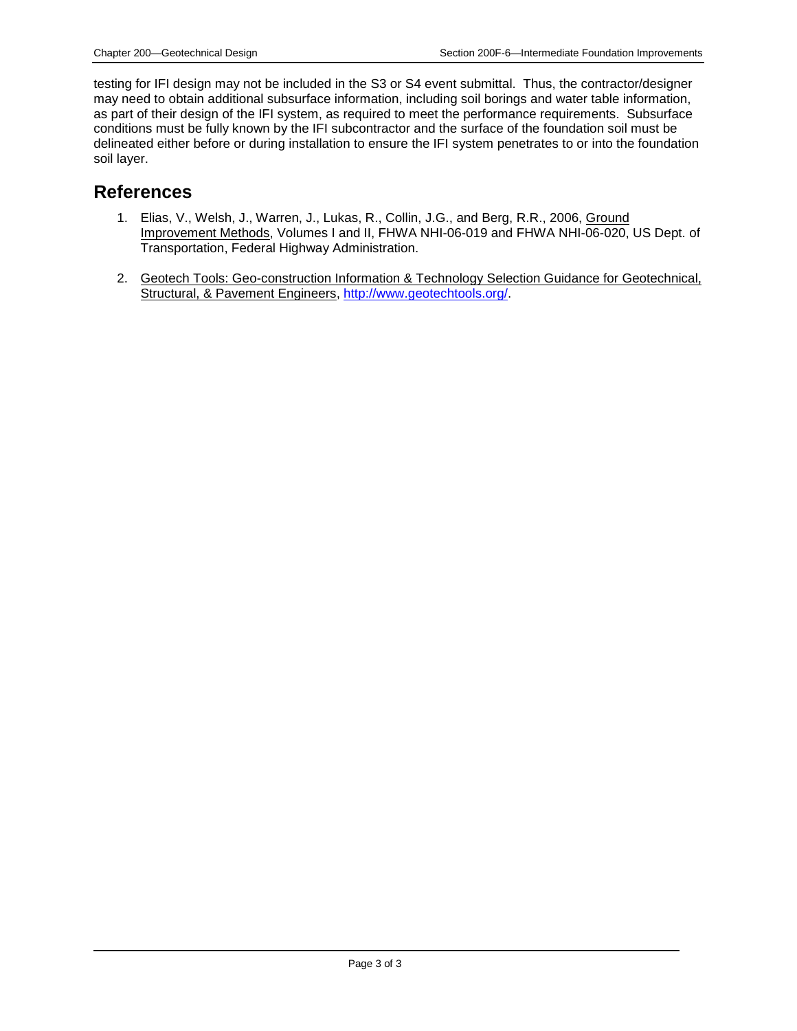testing for IFI design may not be included in the S3 or S4 event submittal. Thus, the contractor/designer may need to obtain additional subsurface information, including soil borings and water table information, as part of their design of the IFI system, as required to meet the performance requirements. Subsurface conditions must be fully known by the IFI subcontractor and the surface of the foundation soil must be delineated either before or during installation to ensure the IFI system penetrates to or into the foundation soil layer.

### **References**

- 1. Elias, V., Welsh, J., Warren, J., Lukas, R., Collin, J.G., and Berg, R.R., 2006, Ground Improvement Methods, Volumes I and II, FHWA NHI-06-019 and FHWA NHI-06-020, US Dept. of Transportation, Federal Highway Administration.
- 2. Geotech Tools: Geo-construction Information & Technology Selection Guidance for Geotechnical, Structural, & Pavement Engineers, [http://www.geotechtools.org/.](http://www.geotechtools.org/)